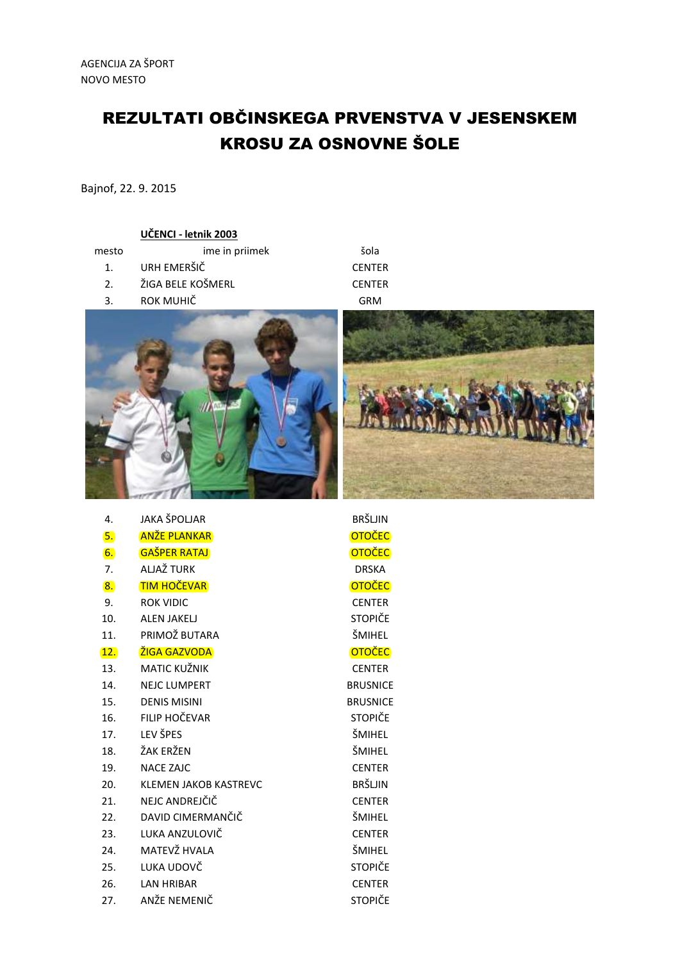# REZULTATI OBČINSKEGA PRVENSTVA V JESENSKEM KROSU ZA OSNOVNE ŠOLE

Bajnof, 22. 9. 2015

#### **UČENCI - letnik 2003**

| mesto | ime in priimek | šola |
|-------|----------------|------|
|       |                |      |

- 1. URH EMERŠIČ CENTER
- 2. ŽIGA BELE KOŠMERL CENTER
- 3. ROK MUHIČ GRM



| 4.  | <b>JAKA ŠPOLJAR</b>       | <b>BRŠLJIN</b>  |
|-----|---------------------------|-----------------|
| 5.  | <b>ANŽE PLANKAR</b>       | <b>OTOČEC</b>   |
| 6.  | <b>GAŠPER RATAJ</b>       | <b>OTOČEC</b>   |
| 7.  | ALJAŽ TURK                | <b>DRSKA</b>    |
| 8.  | <b>TIM HOČEVAR</b>        | <b>OTOČEC</b>   |
| 9.  | <b>ROK VIDIC</b>          | <b>CENTER</b>   |
| 10. | <b>ALEN JAKELJ</b>        | <b>STOPIČE</b>  |
|     | 11. PRIMOŽ BUTARA         | ŠMIHEL          |
|     | 12. ŽIGA GAZVODA          | <b>OTOČEC</b>   |
|     | 13. MATIC KUŽNIK          | <b>CENTER</b>   |
|     | 14. NEJC LUMPERT          | <b>BRUSNICE</b> |
| 15. | <b>DENIS MISINI</b>       | <b>BRUSNICE</b> |
|     | 16. FILIP HOČEVAR         | <b>STOPIČE</b>  |
|     | 17. LEV ŠPES              | ŠMIHEL          |
|     | 18. ŽAK ERŽEN             | ŠMIHEL          |
|     | 19. NACE ZAJC             | <b>CENTER</b>   |
|     | 20. KLEMEN JAKOB KASTREVC | <b>BRŠLJIN</b>  |
| 21. | NEJC ANDREJČIČ            | <b>CENTER</b>   |
|     | 22. DAVID CIMERMANČIČ     | ŠMIHEL          |
| 23. | LUKA ANZULOVIČ            | <b>CENTER</b>   |
|     | 24. MATEVŽ HVALA          | ŠMIHEL          |
|     | 25. LUKA UDOVČ            | <b>STOPIČE</b>  |
|     | 26. LAN HRIBAR            | <b>CENTER</b>   |
| 27. | ANŽE NEMENIČ              | <b>STOPIČE</b>  |
|     |                           |                 |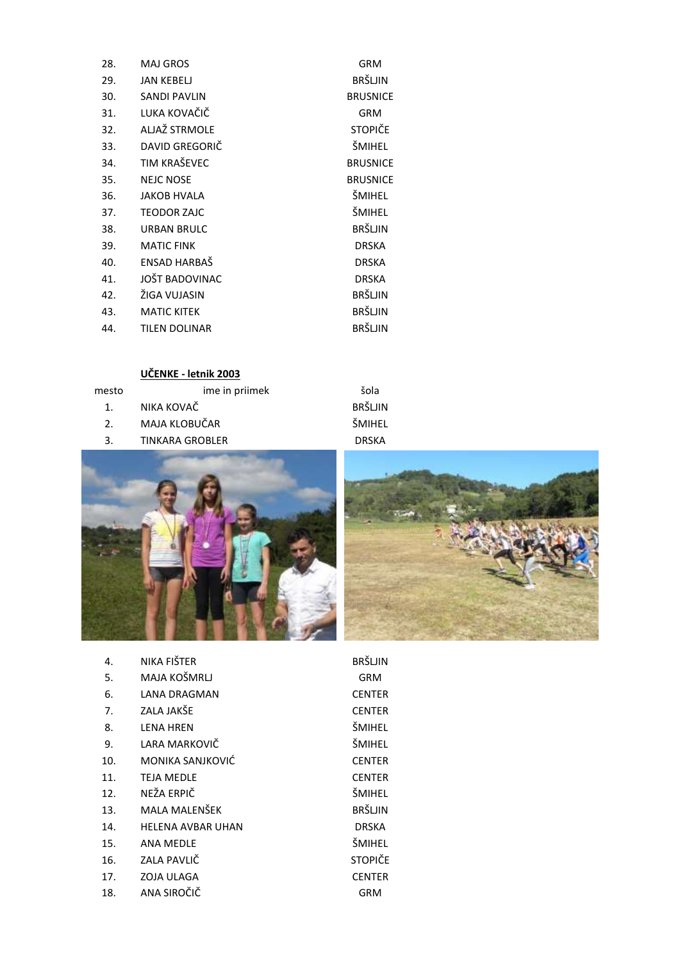| 28. | <b>MAJ GROS</b>      | <b>GRM</b>      |
|-----|----------------------|-----------------|
| 29. | <b>JAN KEBELJ</b>    | <b>BRŠLJIN</b>  |
| 30. | <b>SANDI PAVLIN</b>  | <b>BRUSNICE</b> |
| 31. | LUKA KOVAČIČ         | <b>GRM</b>      |
| 32. | ALJAŽ STRMOLE        | <b>STOPIČE</b>  |
| 33. | DAVID GREGORIČ       | ŠMIHEL          |
| 34. | TIM KRAŠEVEC         | <b>BRUSNICE</b> |
| 35. | <b>NEJC NOSE</b>     | <b>BRUSNICE</b> |
| 36. | JAKOB HVALA          | ŠMIHEL          |
| 37. | <b>TEODOR ZAJC</b>   | ŠMIHEL          |
| 38. | <b>URBAN BRULC</b>   | <b>BRŠLJIN</b>  |
| 39. | <b>MATIC FINK</b>    | <b>DRSKA</b>    |
| 40. | ENSAD HARBAŠ         | <b>DRSKA</b>    |
| 41. | JOŠT BADOVINAC       | <b>DRSKA</b>    |
| 42. | ŽIGA VUJASIN         | <b>BRŠLJIN</b>  |
| 43. | <b>MATIC KITEK</b>   | <b>BRŠLJIN</b>  |
| 44. | <b>TILEN DOLINAR</b> | <b>BRŠLJIN</b>  |

### **UČENKE - letnik 2003**

| mesto | ime in priimek         | šola           |
|-------|------------------------|----------------|
| 1.    | NIKA KOVAČ             | <b>BRŠLJIN</b> |
| 2.    | MAJA KLOBUČAR          | ŠMIHEL         |
| 3     | <b>TINKARA GROBLER</b> | <b>DRSKA</b>   |





| 4.  | NIKA FIŠTFR              | <b>BRŠLJIN</b> |
|-----|--------------------------|----------------|
| 5.  | MAJA KOŠMRLJ             | <b>GRM</b>     |
| 6.  | <b>LANA DRAGMAN</b>      | <b>CENTER</b>  |
| 7.  | ZALA JAKŠE               | <b>CENTER</b>  |
| 8.  | <b>LENA HREN</b>         | ŠMIHEL         |
| 9.  | LARA MARKOVIČ            | ŠMIHEL         |
| 10. | MONIKA SANJKOVIĆ         | <b>CENTER</b>  |
| 11. | <b>TEJA MEDLE</b>        | <b>CENTER</b>  |
| 12. | NEŽA ERPIČ               | ŠMIHEL         |
| 13. | MALA MALENŠEK            | <b>BRŠLJIN</b> |
| 14. | <b>HELENA AVBAR UHAN</b> | <b>DRSKA</b>   |
| 15. | <b>ANA MEDLE</b>         | ŠMIHEL         |
| 16. | ZALA PAVLIČ              | <b>STOPIČE</b> |
| 17. | <b>ZOJA ULAGA</b>        | <b>CENTER</b>  |
| 18. | ANA SIROČIČ              | GRM            |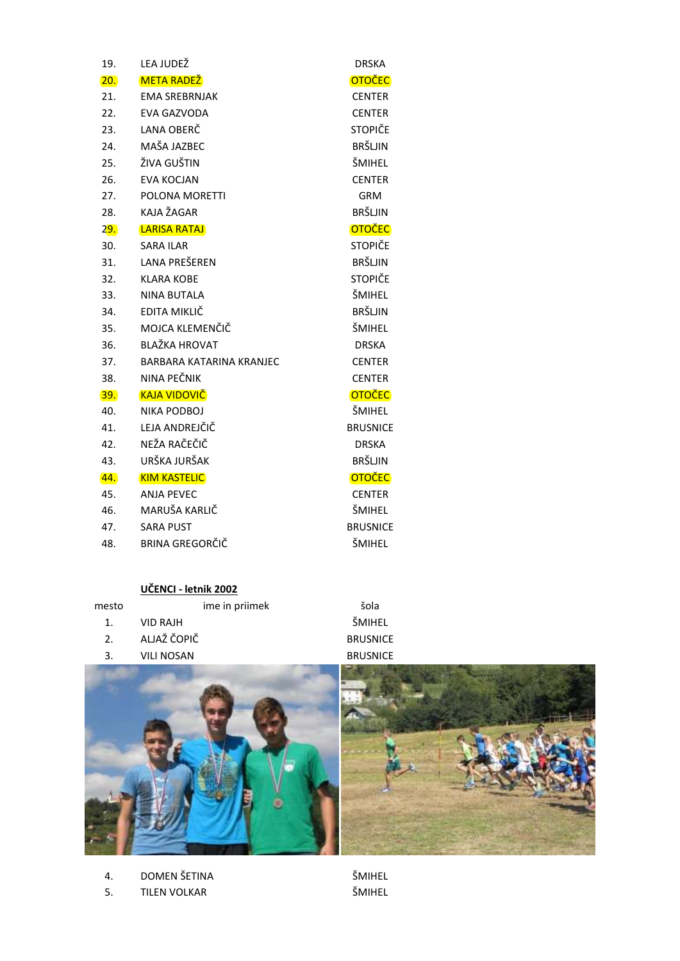| 19. | LEA JUDEŽ                       | <b>DRSKA</b>    |
|-----|---------------------------------|-----------------|
| 20. | <b>META RADEŽ</b>               | <b>OTOČEC</b>   |
| 21. | <b>EMA SREBRNJAK</b>            | <b>CENTER</b>   |
| 22. | <b>EVA GAZVODA</b>              | <b>CENTER</b>   |
| 23. | LANA OBERČ                      | <b>STOPIČE</b>  |
| 24. | MAŠA JAZBEC                     | <b>BRŠLJIN</b>  |
| 25. | ŽIVA GUŠTIN                     | ŠMIHEL          |
| 26. | <b>EVA KOCJAN</b>               | <b>CENTER</b>   |
| 27. | POLONA MORETTI                  | <b>GRM</b>      |
| 28. | KAJA ŽAGAR                      | <b>BRŠLJIN</b>  |
| 29. | <b>LARISA RATAJ</b>             | <b>OTOČEC</b>   |
| 30. | <b>SARA ILAR</b>                | <b>STOPIČE</b>  |
| 31. | LANA PREŠEREN                   | <b>BRŠLJIN</b>  |
| 32. | <b>KLARA KOBE</b>               | <b>STOPIČE</b>  |
| 33. | <b>NINA BUTALA</b>              | ŠMIHEL          |
| 34. | EDITA MIKLIČ                    | <b>BRŠLJIN</b>  |
| 35. | MOJCA KLEMENČIČ                 | ŠMIHEL          |
| 36. | <b>BLAŽKA HROVAT</b>            | <b>DRSKA</b>    |
| 37. | <b>BARBARA KATARINA KRANJEC</b> | <b>CENTER</b>   |
| 38. | NINA PEČNIK                     | <b>CENTER</b>   |
| 39. | KAJA VIDOVIČ                    | <b>OTOČEC</b>   |
| 40. | <b>NIKA PODBOJ</b>              | ŠMIHEL          |
| 41. | LEJA ANDREJČIČ                  | <b>BRUSNICE</b> |
| 42. | NEŽA RAČEČIČ                    | <b>DRSKA</b>    |
| 43. | URŠKA JURŠAK                    | <b>BRŠLJIN</b>  |
| 44. | <b>KIM KASTELIC</b>             | <b>OTOČEC</b>   |
| 45. | <b>ANJA PEVEC</b>               | <b>CENTER</b>   |
| 46. | MARUŠA KARLIČ                   | ŠMIHEL          |
| 47. | <b>SARA PUST</b>                | <b>BRUSNICE</b> |
| 48. | <b>BRINA GREGORČIČ</b>          | ŠMIHEL          |

# **UČENCI - letnik 2002**

| mesto   | ime in priimek  | šola            |
|---------|-----------------|-----------------|
| $1_{-}$ | <b>VID RAJH</b> | ŠMIHEL          |
|         | ALJAŽ ČOPIČ     | <b>BRUSNICE</b> |
| 3       | VILI NOSAN      | <b>BRUSNICE</b> |



- 4. DOMEN ŠETINA ŠMIHEL
- 5. TILEN VOLKAR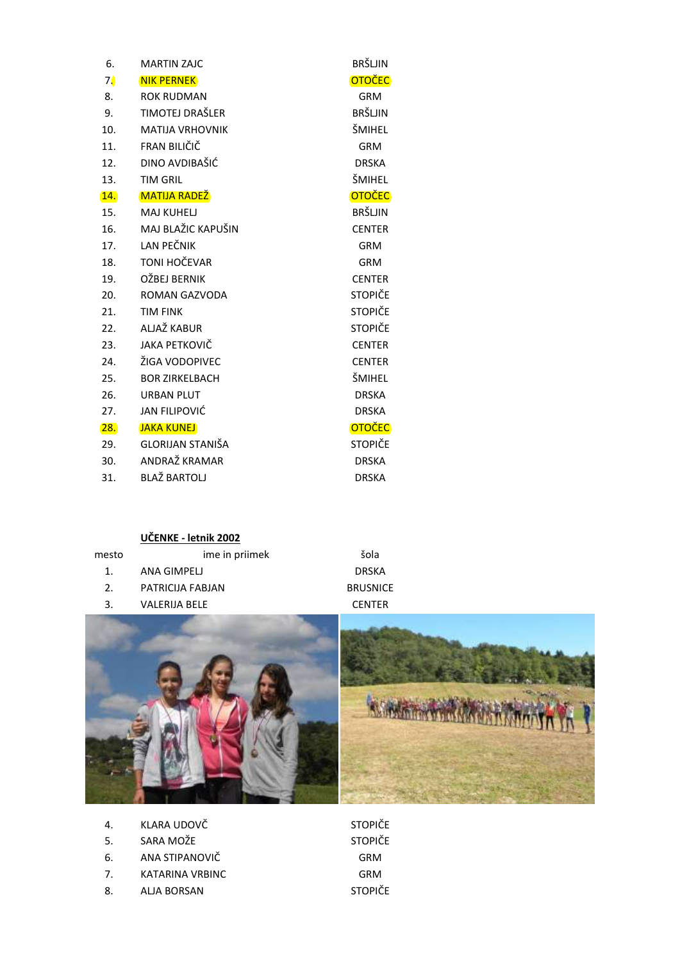| 6.                | <b>MARTIN ZAJC</b>     | <b>BRŠLJIN</b> |
|-------------------|------------------------|----------------|
| 7. <mark>.</mark> | <b>NIK PERNEK</b>      | <b>OTOČEC</b>  |
|                   | 8. ROK RUDMAN          | <b>GRM</b>     |
| 9.                | TIMOTEJ DRAŠLER        | <b>BRŠLJIN</b> |
| 10.               | MATIJA VRHOVNIK        | ŠMIHEL         |
| 11.               | FRAN BILIČIČ           | <b>GRM</b>     |
| 12.               | DINO AVDIBAŠIĆ         | <b>DRSKA</b>   |
| 13.               | <b>TIM GRIL</b>        | ŠMIHEL         |
|                   | 14. MATIJA RADEŽ       | <b>OTOČEC</b>  |
|                   | 15. MAJ KUHELJ         | <b>BRŠLJIN</b> |
|                   | 16. MAJ BLAŽIC KAPUŠIN | <b>CENTER</b>  |
|                   | 17. LAN PEČNIK         | <b>GRM</b>     |
| 18.               | TONI HOČEVAR           | <b>GRM</b>     |
|                   | 19. OŽBEJ BERNIK       | <b>CENTER</b>  |
| 20.               | ROMAN GAZVODA          | <b>STOPIČE</b> |
| 21.               | <b>TIM FINK</b>        | <b>STOPIČE</b> |
|                   | 22. ALJAŽ KABUR        | <b>STOPIČE</b> |
|                   | 23. JAKA PETKOVIČ      | <b>CENTER</b>  |
| 24.               | ŽIGA VODOPIVEC         | <b>CENTER</b>  |
| 25.               | <b>BOR ZIRKELBACH</b>  | ŠMIHEL         |
| 26.               | URBAN PLUT             | <b>DRSKA</b>   |
| 27.               | JAN FILIPOVIĆ          | <b>DRSKA</b>   |
|                   | 28. JAKA KUNEJ         | <b>OTOČEC</b>  |
| 29.               | GLORIJAN STANIŠA       | <b>STOPIČE</b> |
| 30.               | ANDRAŽ KRAMAR          | <b>DRSKA</b>   |
| 31.               | <b>BLAŽ BARTOLJ</b>    | <b>DRSKA</b>   |

## **UČENKE - letnik 2002**

| mesto          | ime in priimek       | šola            |
|----------------|----------------------|-----------------|
| $\mathbf{1}$ . | ANA GIMPELI          | <b>DRSKA</b>    |
| $\mathcal{P}$  | PATRICIJA FABJAN     | <b>BRUSNICE</b> |
| २              | <b>VALERIJA BELE</b> | <b>CENTER</b>   |



- 4. KLARA UDOVČ STOPIČE
- 5. SARA MOŽE STOPIČE
- 6. ANA STIPANOVIČ GRM
- 7. KATARINA VRBINC GRM
- 8. ALJA BORSAN STOPIČE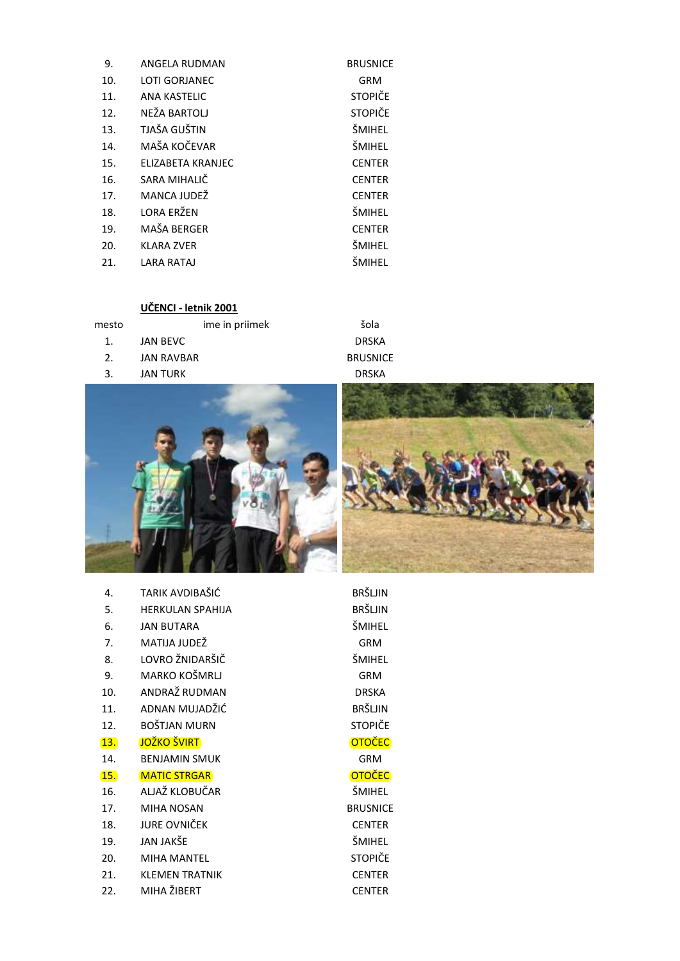| 9.  | <b>ANGELA RUDMAN</b> | <b>BRUSNICE</b> |
|-----|----------------------|-----------------|
| 10. | <b>LOTI GORJANEC</b> | <b>GRM</b>      |
| 11. | <b>ANA KASTELIC</b>  | <b>STOPIČE</b>  |
| 12. | NEŽA BARTOLJ         | <b>STOPIČE</b>  |
| 13. | TJAŠA GUŠTIN         | ŠMIHEL          |
| 14. | MAŠA KOČEVAR         | ŠMIHEL          |
| 15. | ELIZABETA KRANJEC    | <b>CENTER</b>   |
| 16. | SARA MIHALIČ         | <b>CENTER</b>   |
| 17. | MANCA JUDEŽ          | <b>CENTER</b>   |
| 18. | LORA ERŽEN           | ŠMIHEL          |
| 19. | MAŠA BERGER          | <b>CENTER</b>   |
| 20. | <b>KLARA ZVER</b>    | ŠMIHEL          |
| 21. | LARA RATAJ           | ŠMIHEL          |

### **UČENCI - letnik 2001**

| mesto | ime in priimek    | šola            |
|-------|-------------------|-----------------|
| 1.    | JAN BEVC          | <b>DRSKA</b>    |
| 2.    | <b>JAN RAVBAR</b> | <b>BRUSNICE</b> |
| 3.    | JAN TURK          | <b>DRSKA</b>    |



| 4.              | TARIK AVDIBAŠIĆ         | <b>BRŠLJIN</b>  |
|-----------------|-------------------------|-----------------|
| 5.              | <b>HERKULAN SPAHIJA</b> | <b>BRŠLJIN</b>  |
| 6.              | <b>JAN BUTARA</b>       | ŠMIHEL          |
| 7.              | MATIJA JUDEŽ            | <b>GRM</b>      |
| 8.              | LOVRO ŽNIDARŠIČ         | ŠMIHEL          |
| 9.              | MARKO KOŠMRLJ           | <b>GRM</b>      |
| 10.             | ANDRAŽ RUDMAN           | <b>DRSKA</b>    |
| 11.             | ADNAN MUJADŽIĆ          | <b>BRŠLJIN</b>  |
| 12.             | <b>BOŠTJAN MURN</b>     | <b>STOPIČE</b>  |
| 13.             | JOŽKO ŠVIRT             | <b>OTOČEC</b>   |
| 14.             | <b>BENJAMIN SMUK</b>    | <b>GRM</b>      |
| 15.             | <b>MATIC STRGAR</b>     | <b>OTOČEC</b>   |
| 16.             | ALJAŽ KLOBUČAR          | ŠMIHEL          |
| 17 <sub>1</sub> | <b>MIHA NOSAN</b>       | <b>BRUSNICE</b> |
| 18.             | <b>JURE OVNIČEK</b>     | <b>CENTER</b>   |
| 19.             | JAN JAKŠE               | ŠMIHEL          |
| 20.             | MIHA MANTFL             | <b>STOPIČE</b>  |
| 21.             | <b>KLEMEN TRATNIK</b>   | <b>CENTER</b>   |
| 22.             | MIHA ŽIBERT             | <b>CENTER</b>   |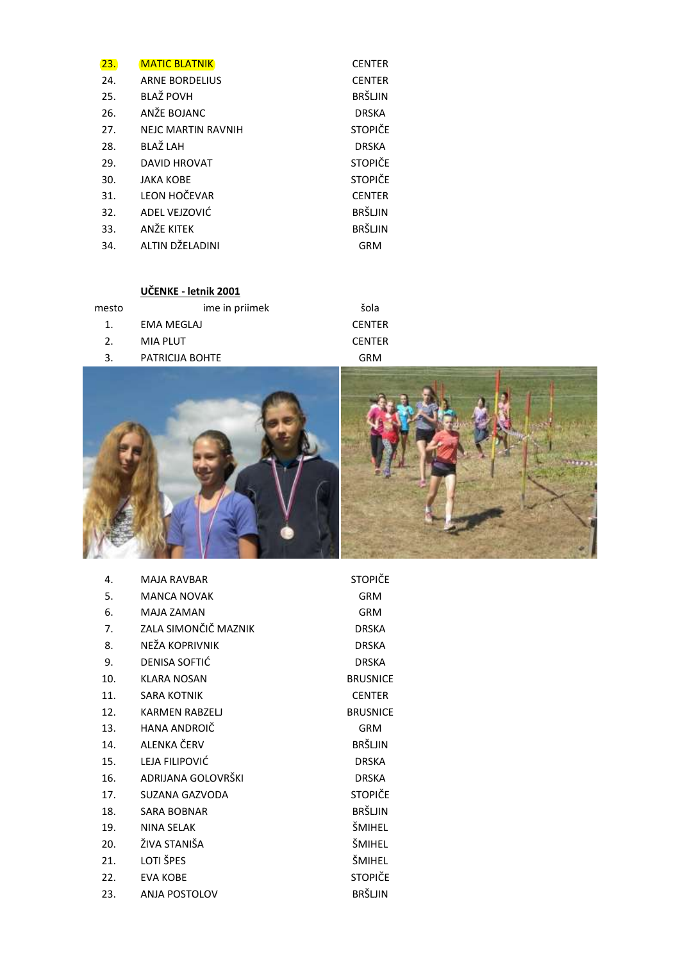| 23. | <b>MATIC BLATNIK</b>      | <b>CENTER</b>  |
|-----|---------------------------|----------------|
| 24. | <b>ARNE BORDELIUS</b>     | <b>CENTER</b>  |
| 25. | <b>BLAŽ POVH</b>          | <b>BRŠLJIN</b> |
| 26. | ANŽE BOJANC               | <b>DRSKA</b>   |
| 27. | <b>NEJC MARTIN RAVNIH</b> | <b>STOPIČE</b> |
| 28. | BLAŽ LAH                  | <b>DRSKA</b>   |
| 29. | <b>DAVID HROVAT</b>       | <b>STOPIČE</b> |
| 30. | <b>JAKA KOBE</b>          | <b>STOPIČE</b> |
| 31. | LEON HOČEVAR              | <b>CENTER</b>  |
| 32. | ADEL VEJZOVIĆ             | <b>BRŠLJIN</b> |
| 33. | ANŽE KITEK                | <b>BRŠLJIN</b> |
| 34. | ALTIN DŽELADINI           | <b>GRM</b>     |
|     |                           |                |

## **UČENKE - letnik 2001**

| mesto | ime in priimek  | šola          |
|-------|-----------------|---------------|
| 1.    | EMA MEGLAJ      | <b>CENTER</b> |
| 2.    | MIA PLUT        | <b>CENTER</b> |
| 3.    | PATRICIJA BOHTE | <b>GRM</b>    |



| 4.  | <b>MAJA RAVBAR</b>    | <b>STOPIČE</b>  |
|-----|-----------------------|-----------------|
| 5.  | <b>MANCA NOVAK</b>    | <b>GRM</b>      |
| 6.  | <b>MAJA ZAMAN</b>     | <b>GRM</b>      |
| 7.  | ZALA SIMONČIČ MAZNIK  | <b>DRSKA</b>    |
| 8.  | NEŽA KOPRIVNIK        | <b>DRSKA</b>    |
| 9.  | DENISA SOFTIĆ         | <b>DRSKA</b>    |
| 10. | <b>KLARA NOSAN</b>    | <b>BRUSNICE</b> |
| 11. | <b>SARA KOTNIK</b>    | <b>CENTER</b>   |
| 12. | <b>KARMEN RABZELJ</b> | <b>BRUSNICE</b> |
| 13. | HANA ANDROIČ          | <b>GRM</b>      |
| 14. | ALENKA ČERV           | <b>BRŠLJIN</b>  |
| 15. | LEJA FILIPOVIĆ        | <b>DRSKA</b>    |
| 16. | ADRIJANA GOLOVRŠKI    | <b>DRSKA</b>    |
| 17. | SUZANA GAZVODA        | <b>STOPIČE</b>  |
| 18. | <b>SARA BOBNAR</b>    | <b>BRŠLJIN</b>  |
| 19. | <b>NINA SELAK</b>     | ŠMIHEL          |
| 20. | ŽIVA STANIŠA          | ŠMIHEL          |
| 21. | LOTI ŠPES             | ŠMIHEL          |
| 22. | EVA KOBE              | <b>STOPIČE</b>  |
| 23. | ANJA POSTOLOV         | <b>BRŠLJIN</b>  |
|     |                       |                 |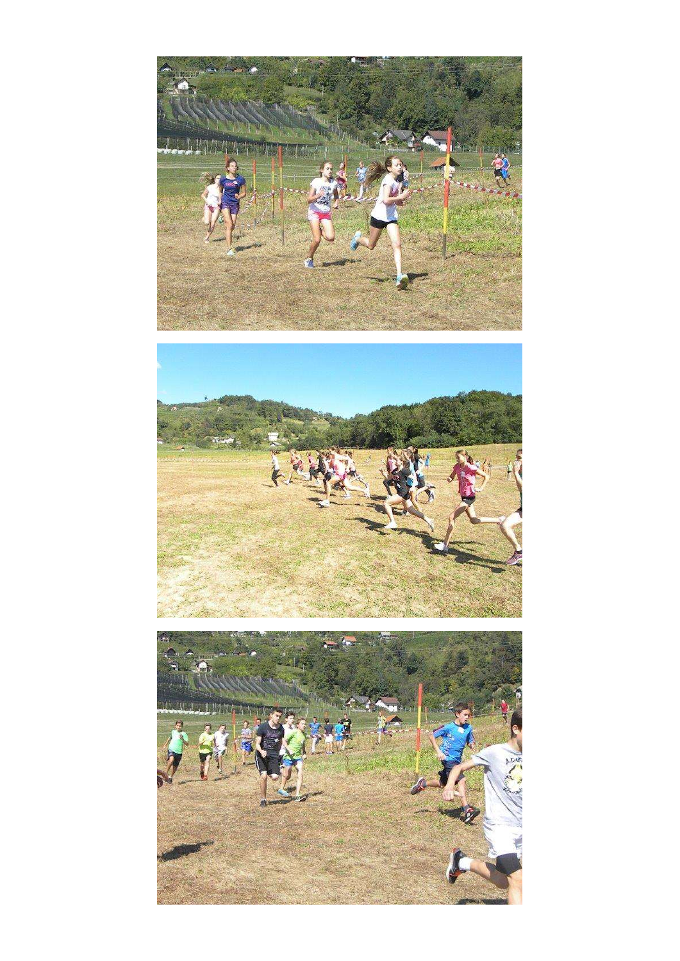